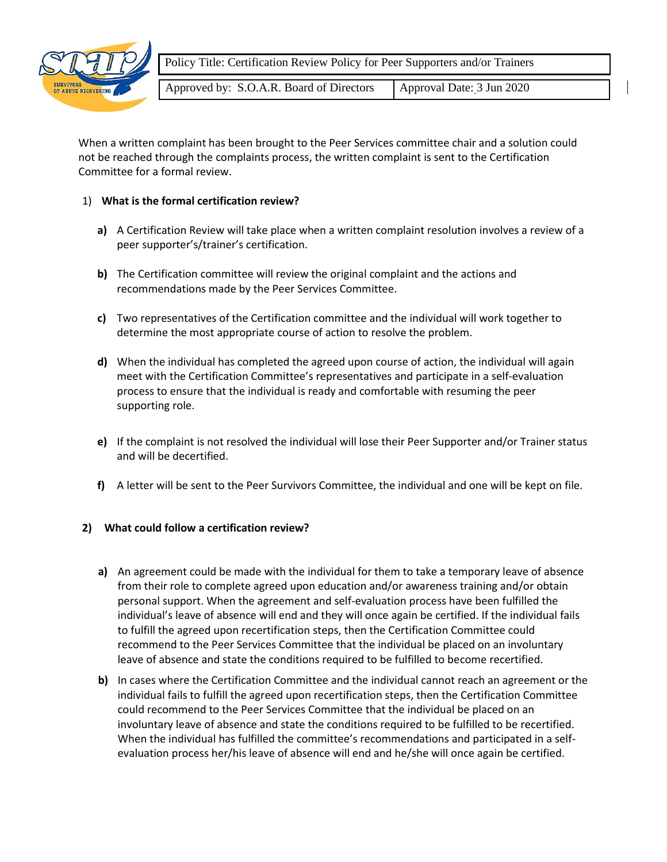

Policy Title: Certification Review Policy for Peer Supporters and/or Trainers

Approved by: S.O.A.R. Board of Directors | Approval Date: 3 Jun 2020

When a written complaint has been brought to the Peer Services committee chair and a solution could not be reached through the complaints process, the written complaint is sent to the Certification Committee for a formal review.

## 1) **What is the formal certification review?**

- **a)** A Certification Review will take place when a written complaint resolution involves a review of a peer supporter's/trainer's certification.
- **b)** The Certification committee will review the original complaint and the actions and recommendations made by the Peer Services Committee.
- **c)** Two representatives of the Certification committee and the individual will work together to determine the most appropriate course of action to resolve the problem.
- **d)** When the individual has completed the agreed upon course of action, the individual will again meet with the Certification Committee's representatives and participate in a self-evaluation process to ensure that the individual is ready and comfortable with resuming the peer supporting role.
- **e)** If the complaint is not resolved the individual will lose their Peer Supporter and/or Trainer status and will be decertified.
- **f)** A letter will be sent to the Peer Survivors Committee, the individual and one will be kept on file.

## **2) What could follow a certification review?**

- **a)** An agreement could be made with the individual for them to take a temporary leave of absence from their role to complete agreed upon education and/or awareness training and/or obtain personal support. When the agreement and self-evaluation process have been fulfilled the individual's leave of absence will end and they will once again be certified. If the individual fails to fulfill the agreed upon recertification steps, then the Certification Committee could recommend to the Peer Services Committee that the individual be placed on an involuntary leave of absence and state the conditions required to be fulfilled to become recertified.
- **b)** In cases where the Certification Committee and the individual cannot reach an agreement or the individual fails to fulfill the agreed upon recertification steps, then the Certification Committee could recommend to the Peer Services Committee that the individual be placed on an involuntary leave of absence and state the conditions required to be fulfilled to be recertified. When the individual has fulfilled the committee's recommendations and participated in a selfevaluation process her/his leave of absence will end and he/she will once again be certified.